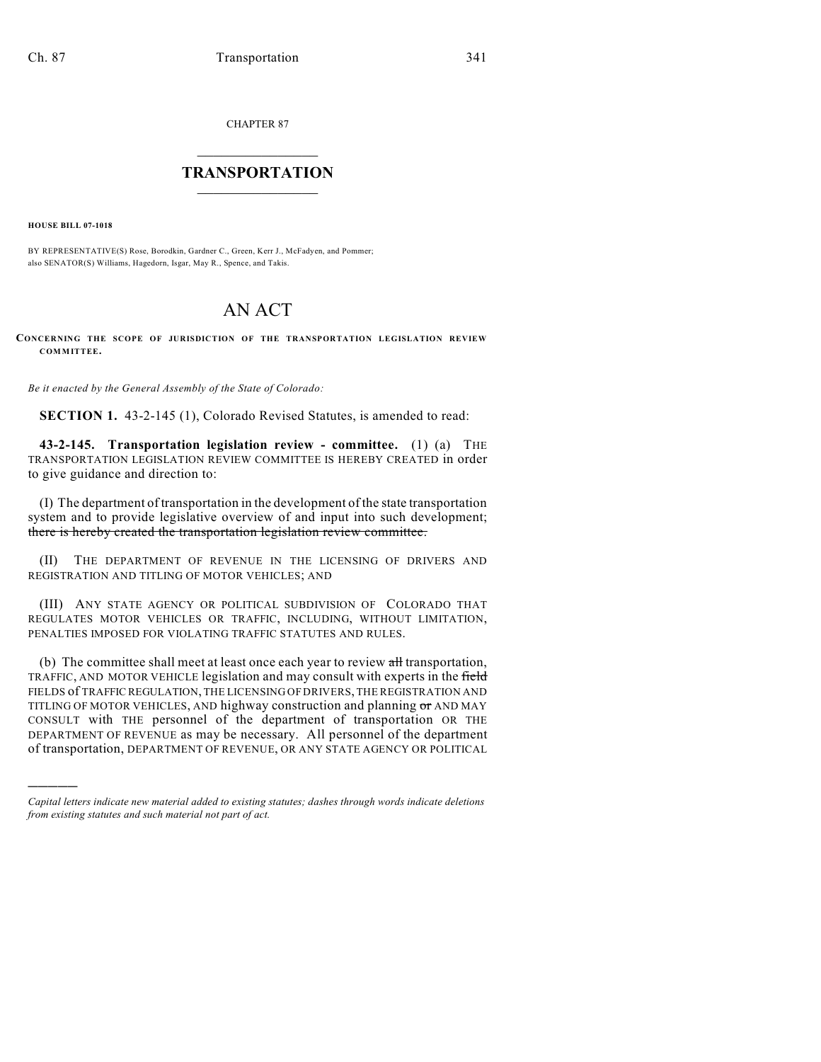CHAPTER 87

## $\overline{\phantom{a}}$  . The set of the set of the set of the set of the set of the set of the set of the set of the set of the set of the set of the set of the set of the set of the set of the set of the set of the set of the set o **TRANSPORTATION**  $\_$   $\_$   $\_$   $\_$   $\_$   $\_$   $\_$   $\_$   $\_$

**HOUSE BILL 07-1018**

)))))

BY REPRESENTATIVE(S) Rose, Borodkin, Gardner C., Green, Kerr J., McFadyen, and Pommer; also SENATOR(S) Williams, Hagedorn, Isgar, May R., Spence, and Takis.

## AN ACT

**CONCERNING THE SCOPE OF JURISDICTION OF THE TRANSPORTATION LEGISLATION REVIEW COMMITTEE.**

*Be it enacted by the General Assembly of the State of Colorado:*

**SECTION 1.** 43-2-145 (1), Colorado Revised Statutes, is amended to read:

**43-2-145. Transportation legislation review - committee.** (1) (a) THE TRANSPORTATION LEGISLATION REVIEW COMMITTEE IS HEREBY CREATED in order to give guidance and direction to:

(I) The department of transportation in the development of the state transportation system and to provide legislative overview of and input into such development; there is hereby created the transportation legislation review committee.

(II) THE DEPARTMENT OF REVENUE IN THE LICENSING OF DRIVERS AND REGISTRATION AND TITLING OF MOTOR VEHICLES; AND

(III) ANY STATE AGENCY OR POLITICAL SUBDIVISION OF COLORADO THAT REGULATES MOTOR VEHICLES OR TRAFFIC, INCLUDING, WITHOUT LIMITATION, PENALTIES IMPOSED FOR VIOLATING TRAFFIC STATUTES AND RULES.

(b) The committee shall meet at least once each year to review all transportation, TRAFFIC, AND MOTOR VEHICLE legislation and may consult with experts in the field FIELDS of TRAFFIC REGULATION, THE LICENSING OF DRIVERS, THE REGISTRATION AND TITLING OF MOTOR VEHICLES, AND highway construction and planning or AND MAY CONSULT with THE personnel of the department of transportation OR THE DEPARTMENT OF REVENUE as may be necessary. All personnel of the department of transportation, DEPARTMENT OF REVENUE, OR ANY STATE AGENCY OR POLITICAL

*Capital letters indicate new material added to existing statutes; dashes through words indicate deletions from existing statutes and such material not part of act.*